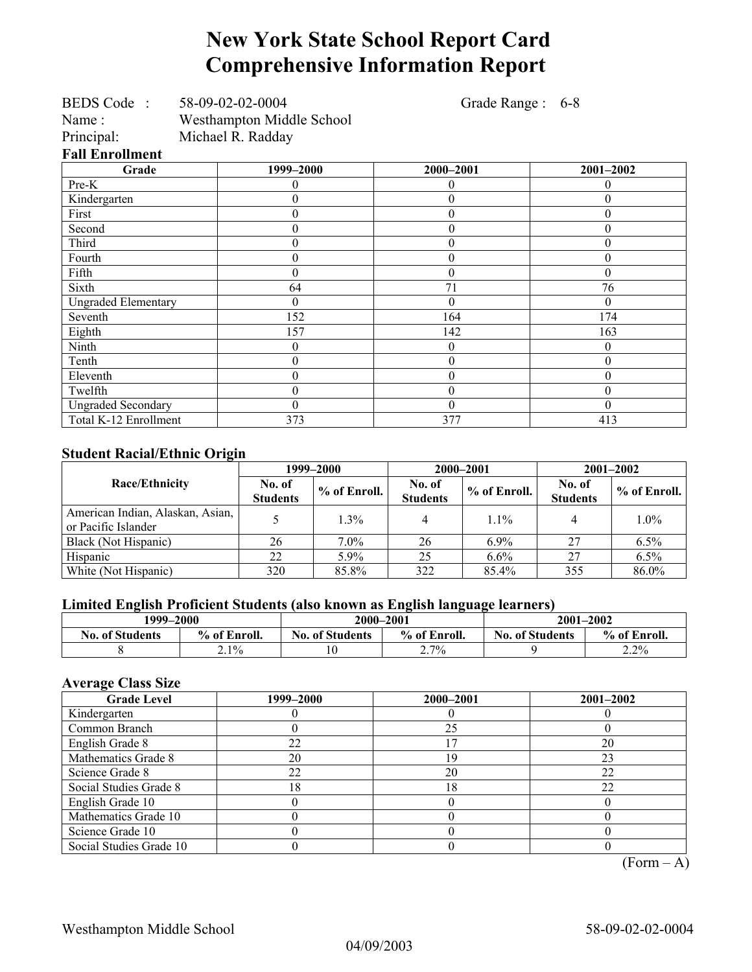## **New York State School Report Card Comprehensive Information Report**

| BEDS Code:             | 58-09-02-02-0004          |
|------------------------|---------------------------|
| Name:                  | Westhampton Middle School |
| Principal:             | Michael R. Radday         |
| <b>Fall Enrollment</b> |                           |

Grade Range : 6-8

| Grade                      | 1999-2000        | 2000-2001        | 2001-2002      |
|----------------------------|------------------|------------------|----------------|
| Pre-K                      | 0                | $\theta$         | $\theta$       |
| Kindergarten               | 0                | $\theta$         | 0              |
| First                      | 0                | $\theta$         | 0              |
| Second                     | 0                | $\Omega$         | 0              |
| Third                      | 0                | $\theta$         | 0              |
| Fourth                     | 0                | $\theta$         | 0              |
| Fifth                      | 0                | $\theta$         | 0              |
| Sixth                      | 64               | 71               | 76             |
| <b>Ungraded Elementary</b> | 0                | $\Omega$         | 0              |
| Seventh                    | 152              | 164              | 174            |
| Eighth                     | 157              | 142              | 163            |
| Ninth                      | 0                | $\theta$         | 0              |
| Tenth                      | 0                | $\theta$         | $\theta$       |
| Eleventh                   | 0                | $\boldsymbol{0}$ | $\theta$       |
| Twelfth                    | $\boldsymbol{0}$ | $\theta$         | $\overline{0}$ |
| <b>Ungraded Secondary</b>  | 0                | $\theta$         | $\theta$       |
| Total K-12 Enrollment      | 373              | 377              | 413            |

#### **Student Racial/Ethnic Origin**

| $\overline{\phantom{a}}$                                | 1999–2000                 |              |                           | 2000-2001    | $2001 - 2002$             |              |
|---------------------------------------------------------|---------------------------|--------------|---------------------------|--------------|---------------------------|--------------|
| <b>Race/Ethnicity</b>                                   | No. of<br><b>Students</b> | % of Enroll. | No. of<br><b>Students</b> | % of Enroll. | No. of<br><b>Students</b> | % of Enroll. |
| American Indian, Alaskan, Asian,<br>or Pacific Islander |                           | 1.3%         |                           | $1.1\%$      |                           | $1.0\%$      |
| Black (Not Hispanic)                                    | 26                        | $7.0\%$      | 26                        | $6.9\%$      | 27                        | 6.5%         |
| Hispanic                                                | 22                        | 5.9%         | 25                        | $6.6\%$      | 27                        | 6.5%         |
| White (Not Hispanic)                                    | 320                       | 85.8%        | 322                       | 85.4%        | 355                       | 86.0%        |

#### **Limited English Proficient Students (also known as English language learners)**

| 1999–2000              |              | 2000-2001              |              | $2001 - 2002$          |              |
|------------------------|--------------|------------------------|--------------|------------------------|--------------|
| <b>No. of Students</b> | % of Enroll. | <b>No. of Students</b> | % of Enroll. | <b>No. of Students</b> | % of Enroll. |
|                        | $2.1\%$      | 10                     | 2.7%         |                        | 2.2%         |

#### **Average Class Size**

| <b>Grade Level</b>      | 1999–2000 | 2000-2001 | $2001 - 2002$ |
|-------------------------|-----------|-----------|---------------|
| Kindergarten            |           |           |               |
| Common Branch           |           | 25        |               |
| English Grade 8         | 22        |           | 20            |
| Mathematics Grade 8     | 20        | 19        | 23            |
| Science Grade 8         | 22        | 20        | 22            |
| Social Studies Grade 8  | 18        | 18        | 22            |
| English Grade 10        |           |           |               |
| Mathematics Grade 10    |           |           |               |
| Science Grade 10        |           |           |               |
| Social Studies Grade 10 |           |           |               |

 $(Form – A)$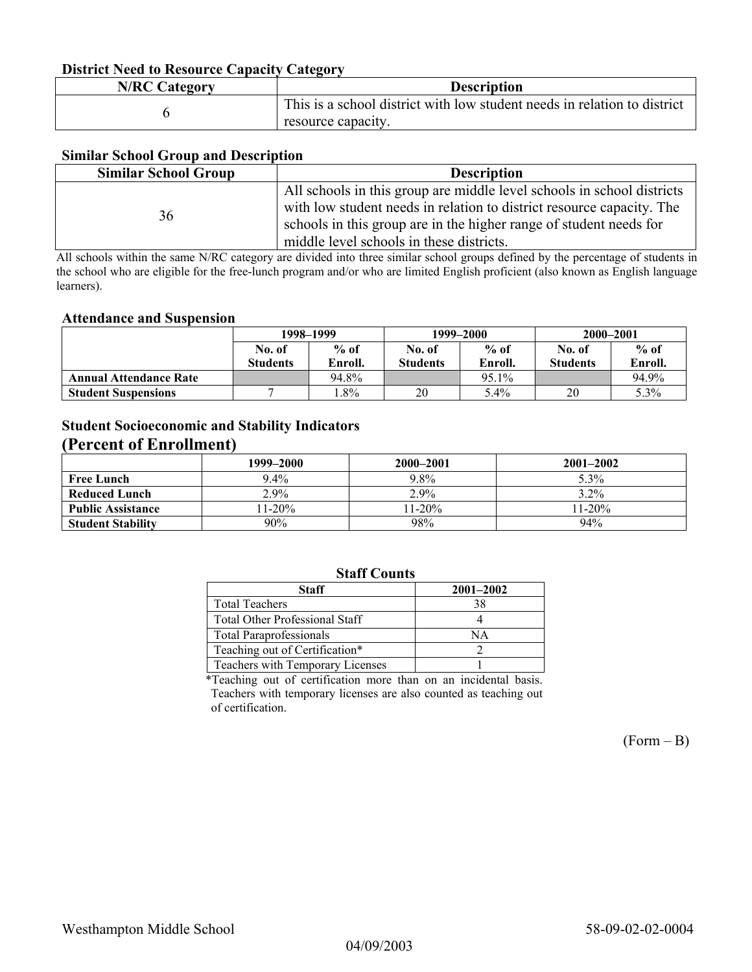#### **District Need to Resource Capacity Category**

| <b>N/RC Category</b> | <b>Description</b>                                                       |
|----------------------|--------------------------------------------------------------------------|
|                      | This is a school district with low student needs in relation to district |
|                      | resource capacity.                                                       |

#### **Similar School Group and Description**

| <b>Similar School Group</b> | <b>Description</b>                                                                                                                                                                                                                                                |
|-----------------------------|-------------------------------------------------------------------------------------------------------------------------------------------------------------------------------------------------------------------------------------------------------------------|
| 36                          | All schools in this group are middle level schools in school districts<br>with low student needs in relation to district resource capacity. The<br>schools in this group are in the higher range of student needs for<br>middle level schools in these districts. |

All schools within the same N/RC category are divided into three similar school groups defined by the percentage of students in the school who are eligible for the free-lunch program and/or who are limited English proficient (also known as English language learners).

#### **Attendance and Suspension**

|                               | 1998–1999       |         | 1999–2000       |         | 2000-2001       |         |
|-------------------------------|-----------------|---------|-----------------|---------|-----------------|---------|
|                               | No. of          | $%$ of  | No. of          | $%$ of  | No. of          | $%$ of  |
|                               | <b>Students</b> | Enroll. | <b>Students</b> | Enroll. | <b>Students</b> | Enroll. |
| <b>Annual Attendance Rate</b> |                 | 94.8%   |                 | 95.1%   |                 | 94.9%   |
| <b>Student Suspensions</b>    |                 | $.8\%$  | 20              | 5.4%    | 20              | 5.3%    |

#### **Student Socioeconomic and Stability Indicators (Percent of Enrollment)**

|                          | 1999-2000 | 2000-2001 | $2001 - 2002$ |
|--------------------------|-----------|-----------|---------------|
| <b>Free Lunch</b>        | $9.4\%$   | 9.8%      | $5.3\%$       |
| Reduced Lunch            | $2.9\%$   | $2.9\%$   | 3.2%          |
| <b>Public Assistance</b> | $11-20%$  | $11-20%$  | $11 - 20\%$   |
| <b>Student Stability</b> | 90%       | 98%       | 94%           |

#### **Staff Counts**

| Staff                                 | $2001 - 2002$ |
|---------------------------------------|---------------|
| <b>Total Teachers</b>                 | 38            |
| <b>Total Other Professional Staff</b> |               |
| <b>Total Paraprofessionals</b>        | NΑ            |
| Teaching out of Certification*        |               |
| Teachers with Temporary Licenses      |               |

\*Teaching out of certification more than on an incidental basis. Teachers with temporary licenses are also counted as teaching out of certification.

 $(Form - B)$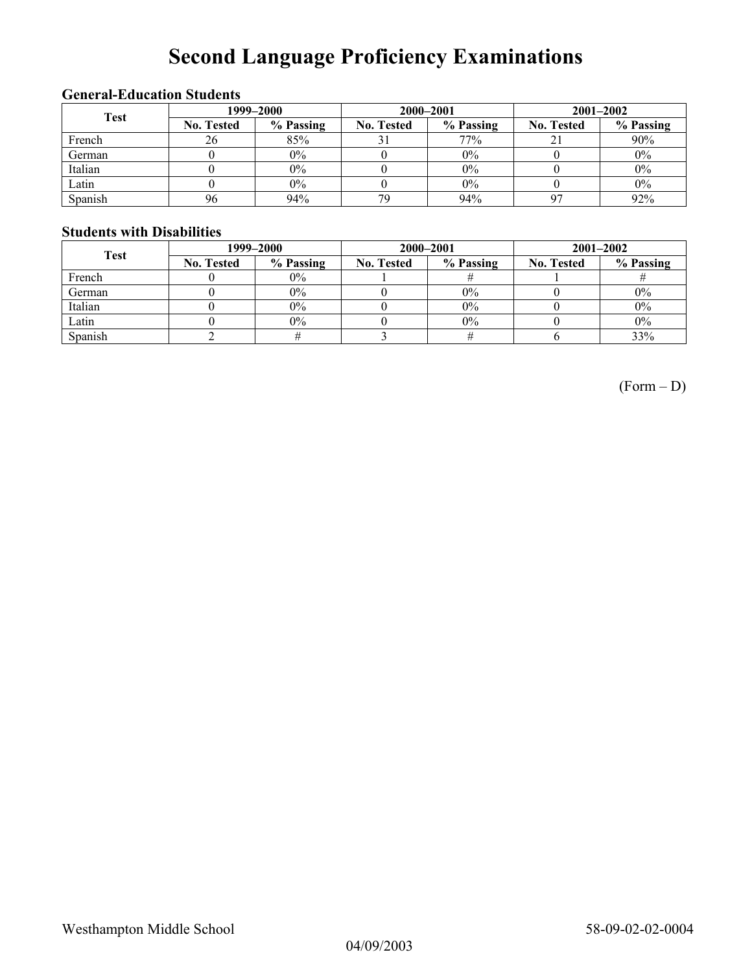# **Second Language Proficiency Examinations**

#### **General-Education Students**

| <b>Test</b> | 1999-2000         |           |                   | 2000-2001 | $2001 - 2002$     |           |
|-------------|-------------------|-----------|-------------------|-----------|-------------------|-----------|
|             | <b>No. Tested</b> | % Passing | <b>No. Tested</b> | % Passing | <b>No. Tested</b> | % Passing |
| French      | 26                | 85%       | JІ                | 77%       |                   | 90%       |
| German      |                   | $0\%$     |                   | 0%        |                   | $0\%$     |
| Italian     |                   | $0\%$     |                   | 0%        |                   | $0\%$     |
| Latin       |                   | $0\%$     |                   | 0%        |                   | $0\%$     |
| Spanish     | 96                | 94%       | 7 <sub>C</sub>    | 94%       |                   | 92%       |

#### **Students with Disabilities**

| <b>Test</b> | 1999–2000         |           |                   | 2000-2001 | $2001 - 2002$     |           |
|-------------|-------------------|-----------|-------------------|-----------|-------------------|-----------|
|             | <b>No. Tested</b> | % Passing | <b>No. Tested</b> | % Passing | <b>No. Tested</b> | % Passing |
| French      |                   | $0\%$     |                   |           |                   |           |
| German      |                   | $0\%$     |                   | $0\%$     |                   | $0\%$     |
| Italian     |                   | $0\%$     |                   | $0\%$     |                   | $0\%$     |
| Latin       |                   | $0\%$     |                   | $0\%$     |                   | $0\%$     |
| Spanish     |                   |           |                   |           |                   | 33%       |

(Form – D)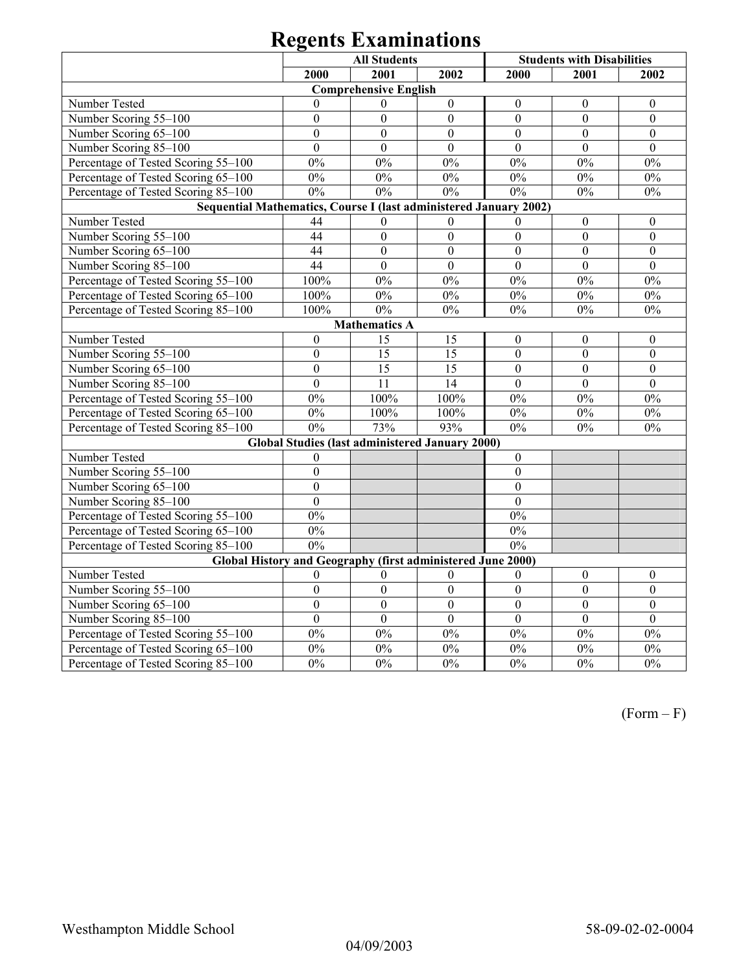# **Regents Examinations**

| <b>All Students</b><br><b>Students with Disabilities</b>          |                  |                              |                                                        |                  |                  |                  |  |
|-------------------------------------------------------------------|------------------|------------------------------|--------------------------------------------------------|------------------|------------------|------------------|--|
|                                                                   | 2000             | 2001                         | 2002                                                   | 2000             | 2001             | 2002             |  |
|                                                                   |                  | <b>Comprehensive English</b> |                                                        |                  |                  |                  |  |
| Number Tested                                                     | $\theta$         | $\theta$                     | $\boldsymbol{0}$                                       | $\theta$         | $\theta$         | $\theta$         |  |
| Number Scoring 55-100                                             | $\overline{0}$   | $\theta$                     | $\overline{0}$                                         | $\overline{0}$   | $\overline{0}$   | $\overline{0}$   |  |
| Number Scoring 65-100                                             | $\mathbf{0}$     | $\Omega$                     | $\theta$                                               | $\theta$         | $\theta$         | $\Omega$         |  |
| Number Scoring 85-100                                             | $\overline{0}$   | $\overline{0}$               | $\mathbf{0}$                                           | $\mathbf{0}$     | $\mathbf{0}$     | $\mathbf{0}$     |  |
| Percentage of Tested Scoring 55-100                               | $0\%$            | $0\%$                        | $0\%$                                                  | $0\%$            | $0\%$            | 0%               |  |
| Percentage of Tested Scoring 65-100                               | $0\%$            | $0\%$                        | $0\%$                                                  | $0\%$            | $0\%$            | $0\%$            |  |
| Percentage of Tested Scoring 85-100                               | 0%               | 0%                           | 0%                                                     | $0\%$            | $0\%$            | $0\%$            |  |
| Sequential Mathematics, Course I (last administered January 2002) |                  |                              |                                                        |                  |                  |                  |  |
| Number Tested                                                     | 44               | $\theta$                     | $\theta$                                               | $\theta$         | $\boldsymbol{0}$ | $\boldsymbol{0}$ |  |
| Number Scoring 55-100                                             | 44               | $\overline{0}$               | $\mathbf{0}$                                           | $\overline{0}$   | $\overline{0}$   | $\mathbf{0}$     |  |
| Number Scoring 65-100                                             | 44               | $\overline{0}$               | $\overline{0}$                                         | $\overline{0}$   | $\overline{0}$   | $\mathbf{0}$     |  |
| Number Scoring 85-100                                             | 44               | $\overline{0}$               | $\overline{0}$                                         | $\overline{0}$   | $\overline{0}$   | $\mathbf{0}$     |  |
| Percentage of Tested Scoring 55-100                               | 100%             | $0\%$                        | $0\%$                                                  | $0\%$            | $0\%$            | 0%               |  |
| Percentage of Tested Scoring 65-100                               | 100%             | $0\%$                        | $0\%$                                                  | $0\%$            | $0\%$            | $0\%$            |  |
| Percentage of Tested Scoring 85-100                               | 100%             | 0%                           | $0\%$                                                  | $0\%$            | $0\%$            | $0\%$            |  |
| <b>Mathematics A</b>                                              |                  |                              |                                                        |                  |                  |                  |  |
| Number Tested                                                     | $\boldsymbol{0}$ | 15                           | 15                                                     | $\boldsymbol{0}$ | $\boldsymbol{0}$ | $\boldsymbol{0}$ |  |
| Number Scoring 55-100                                             | $\overline{0}$   | $\overline{15}$              | $\overline{15}$                                        | $\mathbf{0}$     | $\overline{0}$   | $\overline{0}$   |  |
| Number Scoring 65-100                                             | $\overline{0}$   | 15                           | $\overline{15}$                                        | $\mathbf{0}$     | $\mathbf{0}$     | $\mathbf{0}$     |  |
| Number Scoring 85-100                                             | $\overline{0}$   | 11                           | 14                                                     | $\overline{0}$   | $\mathbf{0}$     | $\mathbf{0}$     |  |
| Percentage of Tested Scoring 55-100                               | $0\%$            | 100%                         | 100%                                                   | $0\%$            | $0\%$            | $0\%$            |  |
| Percentage of Tested Scoring 65-100                               | 0%               | 100%                         | 100%                                                   | $0\%$            | $0\%$            | $0\%$            |  |
| Percentage of Tested Scoring 85-100                               | $0\%$            | 73%                          | 93%                                                    | $0\%$            | $0\%$            | $0\%$            |  |
|                                                                   |                  |                              | <b>Global Studies (last administered January 2000)</b> |                  |                  |                  |  |
| Number Tested                                                     | $\overline{0}$   |                              |                                                        | $\mathbf{0}$     |                  |                  |  |
| Number Scoring 55-100                                             | $\overline{0}$   |                              |                                                        | $\boldsymbol{0}$ |                  |                  |  |
| Number Scoring 65-100                                             | $\mathbf{0}$     |                              |                                                        | $\mathbf{0}$     |                  |                  |  |
| Number Scoring 85-100                                             | $\overline{0}$   |                              |                                                        | $\overline{0}$   |                  |                  |  |
| Percentage of Tested Scoring 55-100                               | 0%               |                              |                                                        | $0\%$            |                  |                  |  |
| Percentage of Tested Scoring 65-100                               | $\overline{0\%}$ |                              |                                                        | 0%               |                  |                  |  |
| Percentage of Tested Scoring 85-100                               | 0%               |                              |                                                        | 0%               |                  |                  |  |
| Global History and Geography (first administered June 2000)       |                  |                              |                                                        |                  |                  |                  |  |
| Number Tested                                                     | $\theta$         | $\mathbf{0}$                 | $\mathbf{0}$                                           | $\mathbf{0}$     | $\mathbf{0}$     | $\mathbf{0}$     |  |
| Number Scoring 55-100                                             | $\boldsymbol{0}$ | $\boldsymbol{0}$             | $\boldsymbol{0}$                                       | $\boldsymbol{0}$ | $\mathbf{0}$     | $\boldsymbol{0}$ |  |
| Number Scoring 65-100                                             | $\overline{0}$   | $\overline{0}$               | $\overline{0}$                                         | $\overline{0}$   | $\overline{0}$   | $\overline{0}$   |  |
| Number Scoring 85-100                                             | $\overline{0}$   | $\overline{0}$               | $\overline{0}$                                         | $\overline{0}$   | $\overline{0}$   | $\overline{0}$   |  |
| Percentage of Tested Scoring 55-100                               | 0%               | 0%                           | $0\%$                                                  | 0%               | $0\%$            | 0%               |  |
| Percentage of Tested Scoring 65-100                               | 0%               | 0%                           | $0\%$                                                  | $0\%$            | $0\%$            | $0\%$            |  |
| Percentage of Tested Scoring 85-100                               | 0%               | 0%                           | 0%                                                     | 0%               | 0%               | 0%               |  |

(Form – F)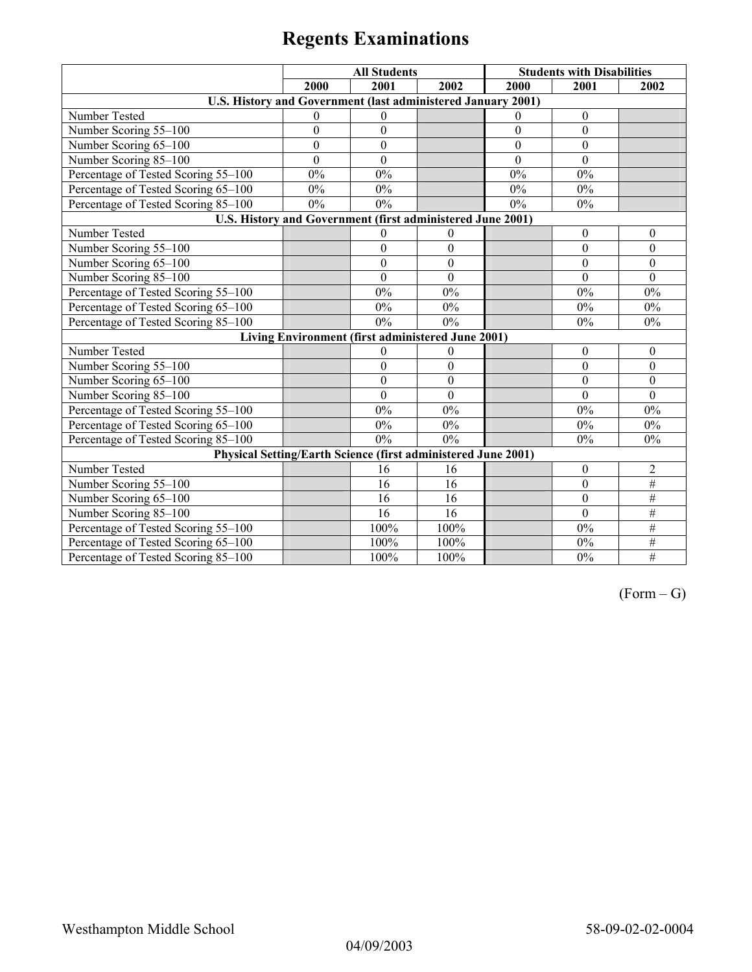# **Regents Examinations**

|                                                               | <b>All Students</b> |                                                   |                  |                  | <b>Students with Disabilities</b> |                  |
|---------------------------------------------------------------|---------------------|---------------------------------------------------|------------------|------------------|-----------------------------------|------------------|
| 2000                                                          |                     | 2001                                              | 2002             | 2000             | 2001                              | 2002             |
| U.S. History and Government (last administered January 2001)  |                     |                                                   |                  |                  |                                   |                  |
| Number Tested                                                 | $\theta$            | $\theta$                                          |                  | $\theta$         | $\theta$                          |                  |
| Number Scoring 55-100                                         | $\boldsymbol{0}$    | $\boldsymbol{0}$                                  |                  | $\boldsymbol{0}$ | $\boldsymbol{0}$                  |                  |
| Number Scoring 65-100                                         | $\boldsymbol{0}$    | $\boldsymbol{0}$                                  |                  | $\boldsymbol{0}$ | $\mathbf{0}$                      |                  |
| Number Scoring 85-100                                         | $\overline{0}$      | $\mathbf{0}$                                      |                  | $\theta$         | $\theta$                          |                  |
| Percentage of Tested Scoring 55-100                           | $0\%$               | 0%                                                |                  | 0%               | 0%                                |                  |
| Percentage of Tested Scoring 65-100                           | 0%                  | 0%                                                |                  | 0%               | 0%                                |                  |
| Percentage of Tested Scoring 85-100                           | $0\%$               | $0\%$                                             |                  | $0\%$            | 0%                                |                  |
| U.S. History and Government (first administered June 2001)    |                     |                                                   |                  |                  |                                   |                  |
| Number Tested                                                 |                     | $\theta$                                          | $\theta$         |                  | $\theta$                          | $\theta$         |
| Number Scoring 55-100                                         |                     | $\boldsymbol{0}$                                  | $\mathbf{0}$     |                  | $\boldsymbol{0}$                  | $\mathbf{0}$     |
| Number Scoring 65-100                                         |                     | $\boldsymbol{0}$                                  | $\boldsymbol{0}$ |                  | $\boldsymbol{0}$                  | $\mathbf{0}$     |
| Number Scoring 85-100                                         |                     | $\mathbf{0}$                                      | $\mathbf{0}$     |                  | $\mathbf{0}$                      | $\mathbf{0}$     |
| Percentage of Tested Scoring 55-100                           |                     | 0%                                                | 0%               |                  | 0%                                | 0%               |
| Percentage of Tested Scoring 65-100                           |                     | $0\%$                                             | $0\%$            |                  | $0\%$                             | $0\%$            |
| Percentage of Tested Scoring 85-100                           |                     | 0%                                                | 0%               |                  | 0%                                | 0%               |
|                                                               |                     | Living Environment (first administered June 2001) |                  |                  |                                   |                  |
| Number Tested                                                 |                     | $\mathbf{0}$                                      | $\boldsymbol{0}$ |                  | $\boldsymbol{0}$                  | $\boldsymbol{0}$ |
| Number Scoring 55-100                                         |                     | $\boldsymbol{0}$                                  | $\boldsymbol{0}$ |                  | $\mathbf{0}$                      | $\mathbf{0}$     |
| Number Scoring 65-100                                         |                     | $\mathbf{0}$                                      | $\mathbf{0}$     |                  | $\mathbf{0}$                      | $\theta$         |
| Number Scoring 85-100                                         |                     | $\mathbf{0}$                                      | $\boldsymbol{0}$ |                  | $\mathbf{0}$                      | $\mathbf{0}$     |
| Percentage of Tested Scoring 55-100                           |                     | 0%                                                | 0%               |                  | 0%                                | 0%               |
| Percentage of Tested Scoring 65-100                           |                     | 0%                                                | $0\%$            |                  | $0\%$                             | $0\%$            |
| Percentage of Tested Scoring 85-100                           |                     | 0%                                                | 0%               |                  | 0%                                | 0%               |
| Physical Setting/Earth Science (first administered June 2001) |                     |                                                   |                  |                  |                                   |                  |
| Number Tested                                                 |                     | 16                                                | 16               |                  | $\boldsymbol{0}$                  | $\overline{c}$   |
| Number Scoring 55-100                                         |                     | 16                                                | 16               |                  | $\mathbf{0}$                      | $\#$             |
| Number Scoring 65-100                                         |                     | 16                                                | 16               |                  | $\mathbf{0}$                      | #                |
| Number Scoring 85-100                                         |                     | 16                                                | 16               |                  | $\mathbf{0}$                      | #                |
| Percentage of Tested Scoring 55-100                           |                     | 100%                                              | 100%             |                  | 0%                                | $\#$             |
| Percentage of Tested Scoring 65-100                           |                     | 100%                                              | 100%             |                  | 0%                                | $\#$             |
| Percentage of Tested Scoring 85-100                           |                     | 100%                                              | 100%             |                  | 0%                                | $\overline{\#}$  |

 $(Form - G)$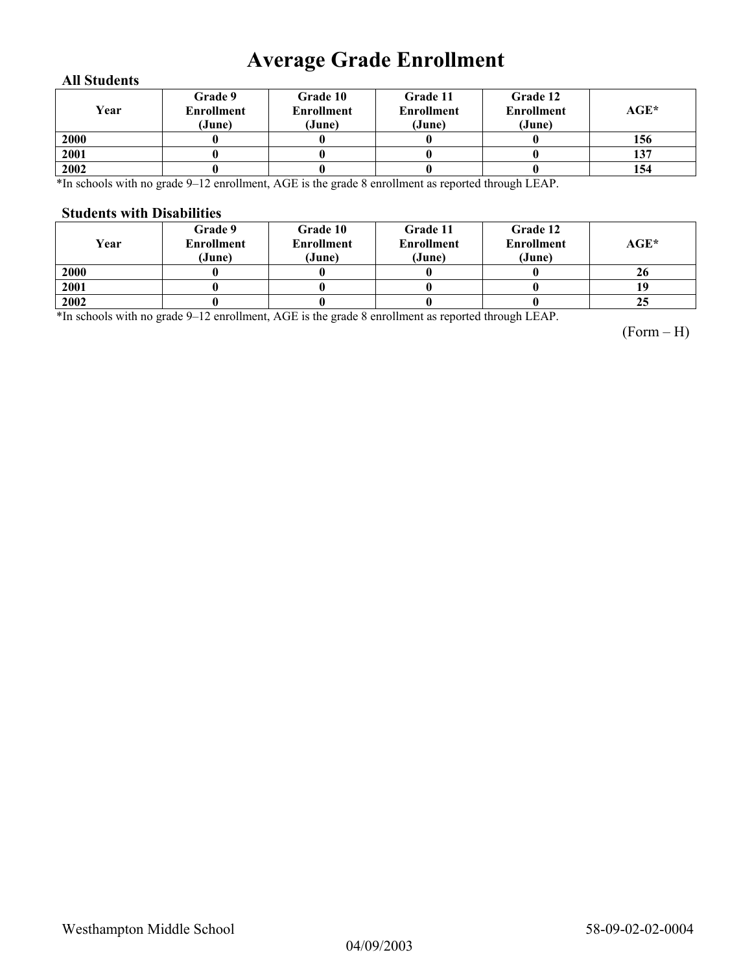## **Average Grade Enrollment**

#### **All Students**

| Year | Grade 9<br><b>Enrollment</b><br>(June) | Grade 10<br><b>Enrollment</b><br>(June) | Grade 11<br><b>Enrollment</b><br>(June) | Grade 12<br><b>Enrollment</b><br>(June) | $AGE^*$ |
|------|----------------------------------------|-----------------------------------------|-----------------------------------------|-----------------------------------------|---------|
| 2000 |                                        |                                         |                                         |                                         | 156     |
| 2001 |                                        |                                         |                                         |                                         | 137     |
| 2002 |                                        |                                         |                                         |                                         | 154     |

\*In schools with no grade 9–12 enrollment, AGE is the grade 8 enrollment as reported through LEAP.

#### **Students with Disabilities**

| Year | <b>Grade 9</b><br>Enrollment<br>(June) | Grade 10<br><b>Enrollment</b><br>(June) | Grade 11<br><b>Enrollment</b><br>(June) | Grade 12<br><b>Enrollment</b><br>(June) | AGE* |
|------|----------------------------------------|-----------------------------------------|-----------------------------------------|-----------------------------------------|------|
| 2000 |                                        |                                         |                                         |                                         | 26   |
| 2001 |                                        |                                         |                                         |                                         |      |
| 2002 |                                        |                                         |                                         |                                         | 25   |

\*In schools with no grade 9–12 enrollment, AGE is the grade 8 enrollment as reported through LEAP.

(Form – H)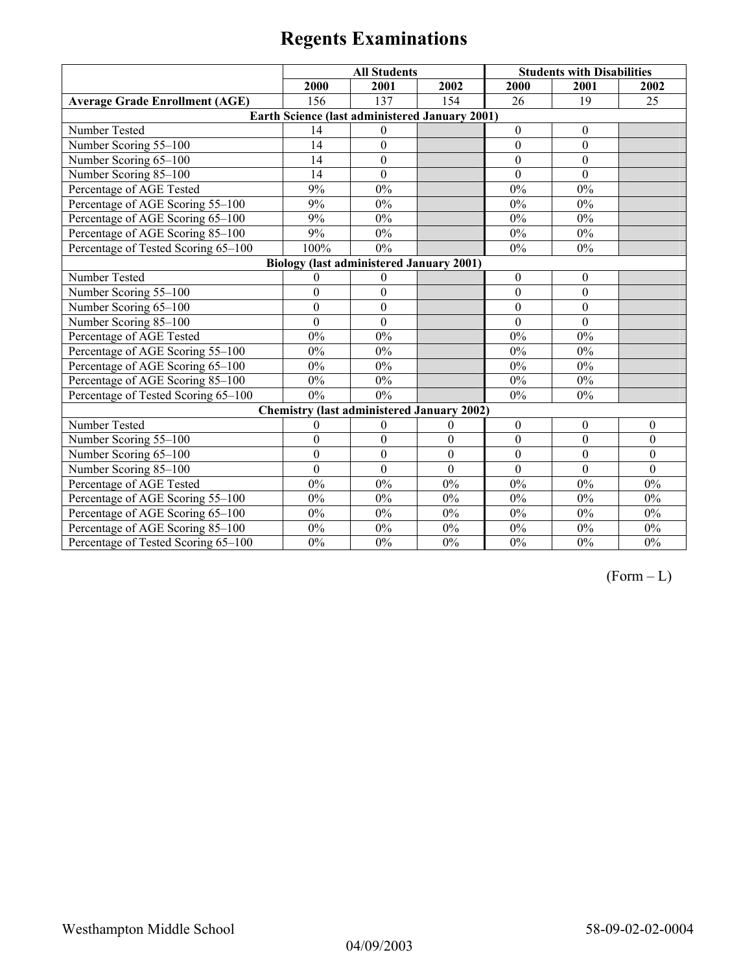# **Regents Examinations**

|                                                 | <b>All Students</b> |                                                       |                  | <b>Students with Disabilities</b> |                  |                  |  |
|-------------------------------------------------|---------------------|-------------------------------------------------------|------------------|-----------------------------------|------------------|------------------|--|
|                                                 | 2000                | 2001                                                  | 2002             | 2000                              | 2001             | 2002             |  |
| <b>Average Grade Enrollment (AGE)</b>           | 156                 | 137                                                   | 154              | 26                                | 19               | 25               |  |
|                                                 |                     | <b>Earth Science (last administered January 2001)</b> |                  |                                   |                  |                  |  |
| Number Tested                                   | 14                  | $\mathbf{0}$                                          |                  | $\boldsymbol{0}$                  | $\boldsymbol{0}$ |                  |  |
| Number Scoring 55-100                           | 14                  | $\boldsymbol{0}$                                      |                  | $\boldsymbol{0}$                  | $\boldsymbol{0}$ |                  |  |
| Number Scoring 65-100                           | 14                  | $\boldsymbol{0}$                                      |                  | $\boldsymbol{0}$                  | $\mathbf{0}$     |                  |  |
| Number Scoring 85-100                           | 14                  | $\overline{0}$                                        |                  | $\theta$                          | $\mathbf{0}$     |                  |  |
| Percentage of AGE Tested                        | 9%                  | 0%                                                    |                  | 0%                                | 0%               |                  |  |
| Percentage of AGE Scoring 55-100                | 9%                  | 0%                                                    |                  | 0%                                | 0%               |                  |  |
| Percentage of AGE Scoring 65-100                | 9%                  | 0%                                                    |                  | 0%                                | 0%               |                  |  |
| Percentage of AGE Scoring 85-100                | 9%                  | $0\%$                                                 |                  | $0\%$                             | $0\%$            |                  |  |
| Percentage of Tested Scoring 65-100             | 100%                | 0%                                                    |                  | $0\%$                             | $0\%$            |                  |  |
| <b>Biology (last administered January 2001)</b> |                     |                                                       |                  |                                   |                  |                  |  |
| Number Tested                                   | $\theta$            | $\theta$                                              |                  | $\boldsymbol{0}$                  | $\boldsymbol{0}$ |                  |  |
| Number Scoring 55-100                           | $\boldsymbol{0}$    | $\boldsymbol{0}$                                      |                  | $\theta$                          | $\theta$         |                  |  |
| Number Scoring 65-100                           | $\theta$            | $\mathbf{0}$                                          |                  | $\Omega$                          | $\mathbf{0}$     |                  |  |
| Number Scoring 85-100                           | $\boldsymbol{0}$    | $\boldsymbol{0}$                                      |                  | $\mathbf{0}$                      | $\boldsymbol{0}$ |                  |  |
| Percentage of AGE Tested                        | 0%                  | 0%                                                    |                  | 0%                                | 0%               |                  |  |
| Percentage of AGE Scoring 55-100                | 0%                  | 0%                                                    |                  | 0%                                | $0\%$            |                  |  |
| Percentage of AGE Scoring 65-100                | 0%                  | 0%                                                    |                  | 0%                                | $0\%$            |                  |  |
| Percentage of AGE Scoring 85-100                | 0%                  | $0\%$                                                 |                  | 0%                                | $0\%$            |                  |  |
| Percentage of Tested Scoring 65-100             | 0%                  | 0%                                                    |                  | 0%                                | 0%               |                  |  |
|                                                 |                     | <b>Chemistry (last administered January 2002)</b>     |                  |                                   |                  |                  |  |
| Number Tested                                   | $\theta$            | $\theta$                                              | $\theta$         | $\mathbf{0}$                      | $\mathbf{0}$     | $\theta$         |  |
| Number Scoring 55-100                           | $\boldsymbol{0}$    | $\mathbf{0}$                                          | $\boldsymbol{0}$ | $\boldsymbol{0}$                  | $\boldsymbol{0}$ | $\theta$         |  |
| Number Scoring 65-100                           | $\overline{0}$      | $\overline{0}$                                        | $\overline{0}$   | $\boldsymbol{0}$                  | $\boldsymbol{0}$ | $\mathbf{0}$     |  |
| Number Scoring 85-100                           | $\mathbf{0}$        | $\mathbf{0}$                                          | $\mathbf{0}$     | $\mathbf{0}$                      | $\mathbf{0}$     | $\mathbf{0}$     |  |
| Percentage of AGE Tested                        | 0%                  | 0%                                                    | 0%               | 0%                                | 0%               | $0\%$            |  |
| Percentage of AGE Scoring 55-100                | $0\%$               | 0%                                                    | $0\%$            | 0%                                | $0\%$            | $0\%$            |  |
| Percentage of AGE Scoring 65-100                | $0\%$               | 0%                                                    | $0\%$            | $0\%$                             | $0\%$            | 0%               |  |
| Percentage of AGE Scoring 85-100                | $0\%$               | 0%                                                    | $0\%$            | $0\%$                             | $0\%$            | $0\%$            |  |
| Percentage of Tested Scoring 65-100             | 0%                  | 0%                                                    | 0%               | $0\%$                             | $0\%$            | $\overline{0\%}$ |  |

 $(Form - L)$